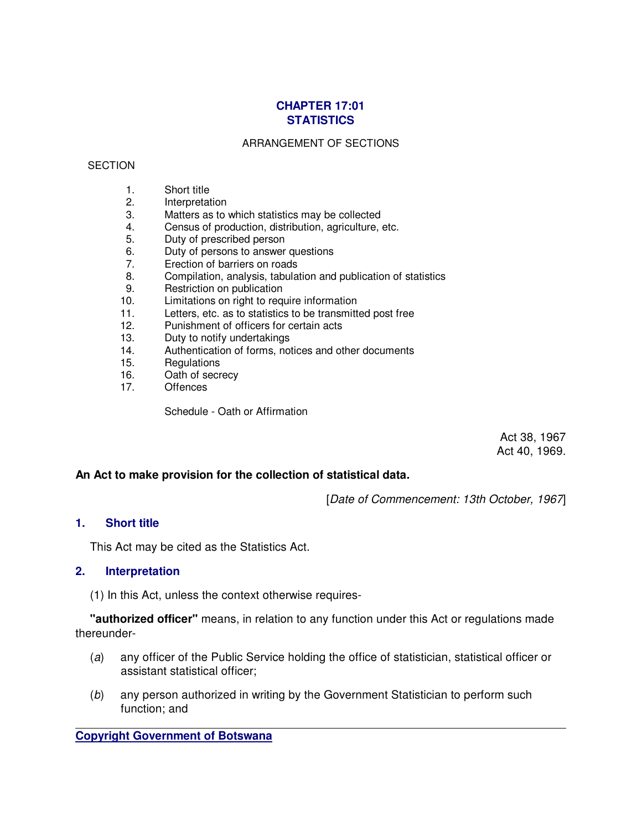# **CHAPTER 17:01 STATISTICS**

### ARRANGEMENT OF SECTIONS

### **SECTION**

- 1. Short title
- 2. Interpretation
- 3. Matters as to which statistics may be collected
- 4. Census of production, distribution, agriculture, etc.
- 5. Duty of prescribed person
- 6. Duty of persons to answer questions
- 7. Erection of barriers on roads
- 8. Compilation, analysis, tabulation and publication of statistics
- 9. Restriction on publication
- 10. Limitations on right to require information
- 11. Letters, etc. as to statistics to be transmitted post free
- 12. Punishment of officers for certain acts
- 13. Duty to notify undertakings
- 14. Authentication of forms, notices and other documents
- 15. Regulations
- 16. Oath of secrecy
- 17. Offences

Schedule - Oath or Affirmation

Act 38, 1967 Act 40, 1969.

## **An Act to make provision for the collection of statistical data.**

[Date of Commencement: 13th October, 1967]

### **1. Short title**

This Act may be cited as the Statistics Act.

### **2. Interpretation**

(1) In this Act, unless the context otherwise requires-

 **"authorized officer"** means, in relation to any function under this Act or regulations made thereunder-

- (a) any officer of the Public Service holding the office of statistician, statistical officer or assistant statistical officer;
- (b) any person authorized in writing by the Government Statistician to perform such function; and

**Copyright Government of Botswana**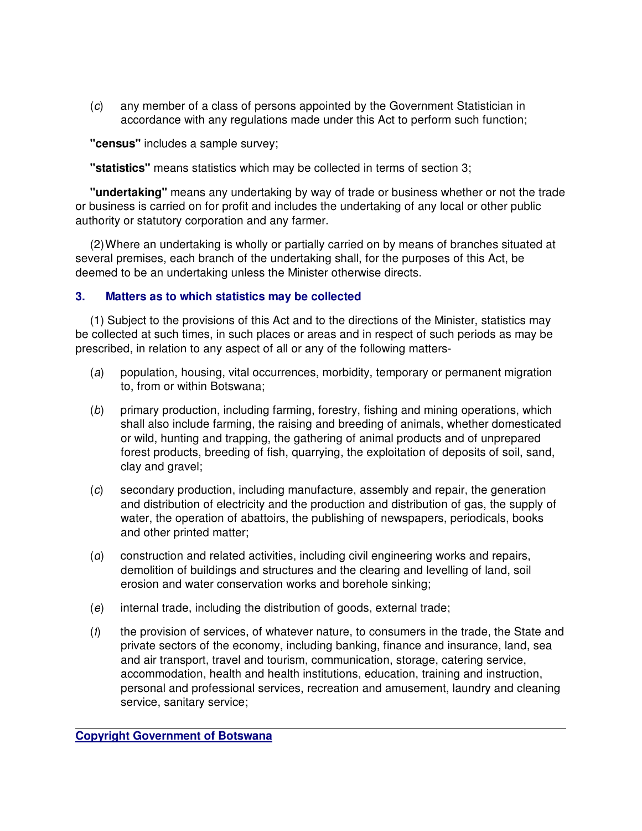(c) any member of a class of persons appointed by the Government Statistician in accordance with any regulations made under this Act to perform such function;

 **"census"** includes a sample survey;

 **"statistics"** means statistics which may be collected in terms of section 3;

 **"undertaking"** means any undertaking by way of trade or business whether or not the trade or business is carried on for profit and includes the undertaking of any local or other public authority or statutory corporation and any farmer.

 (2) Where an undertaking is wholly or partially carried on by means of branches situated at several premises, each branch of the undertaking shall, for the purposes of this Act, be deemed to be an undertaking unless the Minister otherwise directs.

# **3. Matters as to which statistics may be collected**

 (1) Subject to the provisions of this Act and to the directions of the Minister, statistics may be collected at such times, in such places or areas and in respect of such periods as may be prescribed, in relation to any aspect of all or any of the following matters-

- (a) population, housing, vital occurrences, morbidity, temporary or permanent migration to, from or within Botswana;
- (b) primary production, including farming, forestry, fishing and mining operations, which shall also include farming, the raising and breeding of animals, whether domesticated or wild, hunting and trapping, the gathering of animal products and of unprepared forest products, breeding of fish, quarrying, the exploitation of deposits of soil, sand, clay and gravel;
- (c) secondary production, including manufacture, assembly and repair, the generation and distribution of electricity and the production and distribution of gas, the supply of water, the operation of abattoirs, the publishing of newspapers, periodicals, books and other printed matter;
- (d) construction and related activities, including civil engineering works and repairs, demolition of buildings and structures and the clearing and levelling of land, soil erosion and water conservation works and borehole sinking;
- (e) internal trade, including the distribution of goods, external trade;
- $(t)$  the provision of services, of whatever nature, to consumers in the trade, the State and private sectors of the economy, including banking, finance and insurance, land, sea and air transport, travel and tourism, communication, storage, catering service, accommodation, health and health institutions, education, training and instruction, personal and professional services, recreation and amusement, laundry and cleaning service, sanitary service;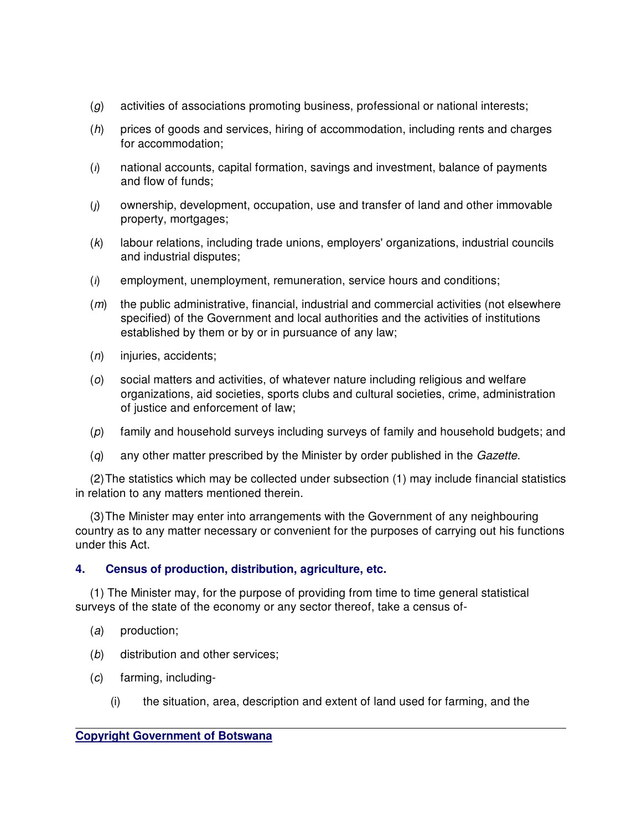- (g) activities of associations promoting business, professional or national interests;
- (h) prices of goods and services, hiring of accommodation, including rents and charges for accommodation;
- (i) national accounts, capital formation, savings and investment, balance of payments and flow of funds;
- (j) ownership, development, occupation, use and transfer of land and other immovable property, mortgages;
- (k) labour relations, including trade unions, employers' organizations, industrial councils and industrial disputes;
- $(l)$  employment, unemployment, remuneration, service hours and conditions;
- $(m)$  the public administrative, financial, industrial and commercial activities (not elsewhere specified) of the Government and local authorities and the activities of institutions established by them or by or in pursuance of any law;
- $(n)$  injuries, accidents;
- (o) social matters and activities, of whatever nature including religious and welfare organizations, aid societies, sports clubs and cultural societies, crime, administration of justice and enforcement of law;
- (p) family and household surveys including surveys of family and household budgets; and
- (q) any other matter prescribed by the Minister by order published in the Gazette.

 (2) The statistics which may be collected under subsection (1) may include financial statistics in relation to any matters mentioned therein.

 (3) The Minister may enter into arrangements with the Government of any neighbouring country as to any matter necessary or convenient for the purposes of carrying out his functions under this Act.

# **4. Census of production, distribution, agriculture, etc.**

 (1) The Minister may, for the purpose of providing from time to time general statistical surveys of the state of the economy or any sector thereof, take a census of-

- (a) production;
- (b) distribution and other services;
- (c) farming, including-
	- (i) the situation, area, description and extent of land used for farming, and the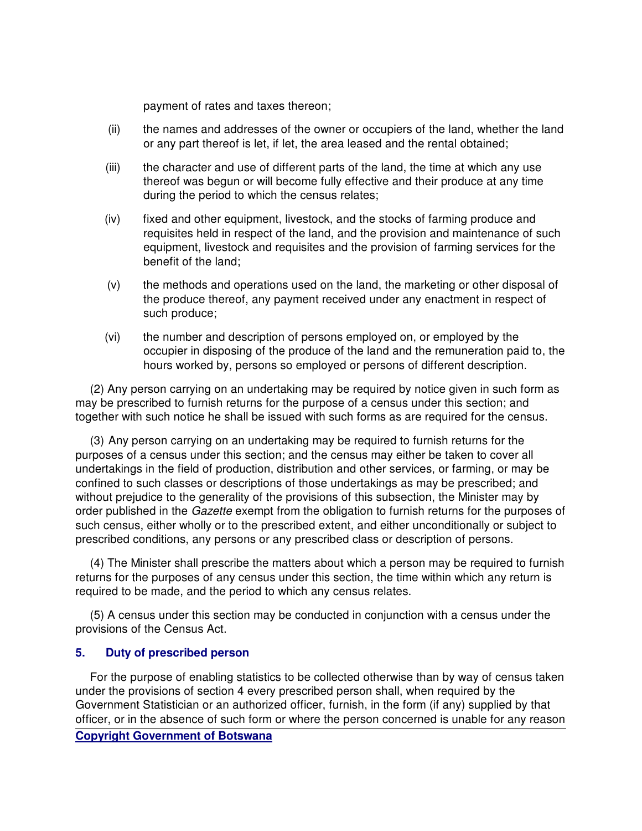payment of rates and taxes thereon;

- (ii) the names and addresses of the owner or occupiers of the land, whether the land or any part thereof is let, if let, the area leased and the rental obtained;
- (iii) the character and use of different parts of the land, the time at which any use thereof was begun or will become fully effective and their produce at any time during the period to which the census relates;
- (iv) fixed and other equipment, livestock, and the stocks of farming produce and requisites held in respect of the land, and the provision and maintenance of such equipment, livestock and requisites and the provision of farming services for the benefit of the land;
- (v) the methods and operations used on the land, the marketing or other disposal of the produce thereof, any payment received under any enactment in respect of such produce;
- (vi) the number and description of persons employed on, or employed by the occupier in disposing of the produce of the land and the remuneration paid to, the hours worked by, persons so employed or persons of different description.

 (2) Any person carrying on an undertaking may be required by notice given in such form as may be prescribed to furnish returns for the purpose of a census under this section; and together with such notice he shall be issued with such forms as are required for the census.

 (3) Any person carrying on an undertaking may be required to furnish returns for the purposes of a census under this section; and the census may either be taken to cover all undertakings in the field of production, distribution and other services, or farming, or may be confined to such classes or descriptions of those undertakings as may be prescribed; and without prejudice to the generality of the provisions of this subsection, the Minister may by order published in the Gazette exempt from the obligation to furnish returns for the purposes of such census, either wholly or to the prescribed extent, and either unconditionally or subject to prescribed conditions, any persons or any prescribed class or description of persons.

 (4) The Minister shall prescribe the matters about which a person may be required to furnish returns for the purposes of any census under this section, the time within which any return is required to be made, and the period to which any census relates.

 (5) A census under this section may be conducted in conjunction with a census under the provisions of the Census Act.

## **5. Duty of prescribed person**

 For the purpose of enabling statistics to be collected otherwise than by way of census taken under the provisions of section 4 every prescribed person shall, when required by the Government Statistician or an authorized officer, furnish, in the form (if any) supplied by that officer, or in the absence of such form or where the person concerned is unable for any reason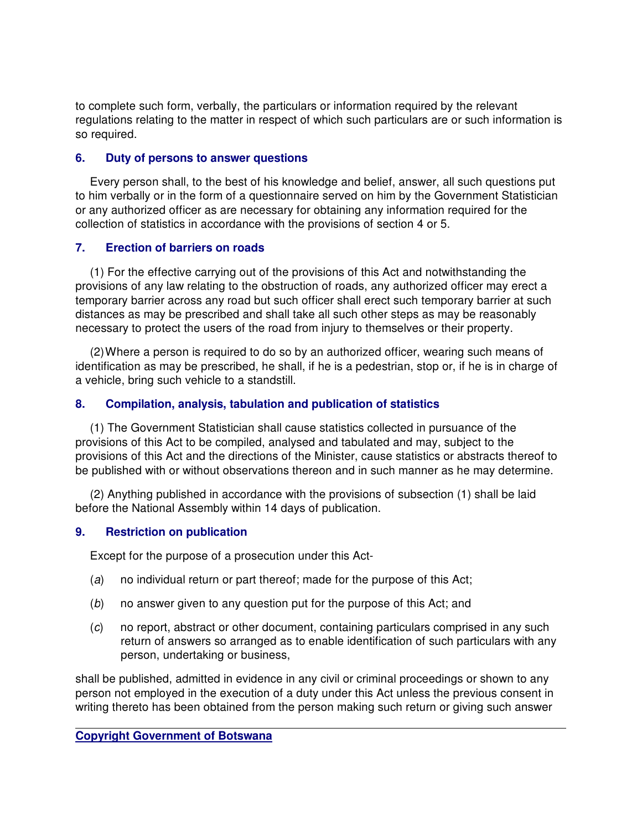to complete such form, verbally, the particulars or information required by the relevant regulations relating to the matter in respect of which such particulars are or such information is so required.

## **6. Duty of persons to answer questions**

 Every person shall, to the best of his knowledge and belief, answer, all such questions put to him verbally or in the form of a questionnaire served on him by the Government Statistician or any authorized officer as are necessary for obtaining any information required for the collection of statistics in accordance with the provisions of section 4 or 5.

## **7. Erection of barriers on roads**

 (1) For the effective carrying out of the provisions of this Act and notwithstanding the provisions of any law relating to the obstruction of roads, any authorized officer may erect a temporary barrier across any road but such officer shall erect such temporary barrier at such distances as may be prescribed and shall take all such other steps as may be reasonably necessary to protect the users of the road from injury to themselves or their property.

 (2) Where a person is required to do so by an authorized officer, wearing such means of identification as may be prescribed, he shall, if he is a pedestrian, stop or, if he is in charge of a vehicle, bring such vehicle to a standstill.

# **8. Compilation, analysis, tabulation and publication of statistics**

 (1) The Government Statistician shall cause statistics collected in pursuance of the provisions of this Act to be compiled, analysed and tabulated and may, subject to the provisions of this Act and the directions of the Minister, cause statistics or abstracts thereof to be published with or without observations thereon and in such manner as he may determine.

 (2) Anything published in accordance with the provisions of subsection (1) shall be laid before the National Assembly within 14 days of publication.

# **9. Restriction on publication**

Except for the purpose of a prosecution under this Act-

- (a) no individual return or part thereof; made for the purpose of this Act;
- (b) no answer given to any question put for the purpose of this Act; and
- (c) no report, abstract or other document, containing particulars comprised in any such return of answers so arranged as to enable identification of such particulars with any person, undertaking or business,

shall be published, admitted in evidence in any civil or criminal proceedings or shown to any person not employed in the execution of a duty under this Act unless the previous consent in writing thereto has been obtained from the person making such return or giving such answer

# **Copyright Government of Botswana**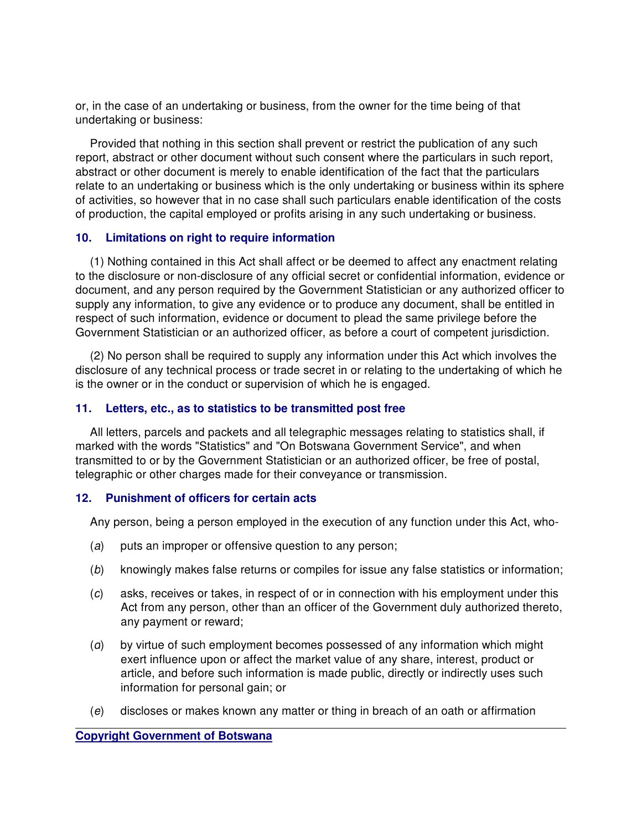or, in the case of an undertaking or business, from the owner for the time being of that undertaking or business:

 Provided that nothing in this section shall prevent or restrict the publication of any such report, abstract or other document without such consent where the particulars in such report, abstract or other document is merely to enable identification of the fact that the particulars relate to an undertaking or business which is the only undertaking or business within its sphere of activities, so however that in no case shall such particulars enable identification of the costs of production, the capital employed or profits arising in any such undertaking or business.

## **10. Limitations on right to require information**

 (1) Nothing contained in this Act shall affect or be deemed to affect any enactment relating to the disclosure or non-disclosure of any official secret or confidential information, evidence or document, and any person required by the Government Statistician or any authorized officer to supply any information, to give any evidence or to produce any document, shall be entitled in respect of such information, evidence or document to plead the same privilege before the Government Statistician or an authorized officer, as before a court of competent jurisdiction.

 (2) No person shall be required to supply any information under this Act which involves the disclosure of any technical process or trade secret in or relating to the undertaking of which he is the owner or in the conduct or supervision of which he is engaged.

## **11. Letters, etc., as to statistics to be transmitted post free**

 All letters, parcels and packets and all telegraphic messages relating to statistics shall, if marked with the words "Statistics" and "On Botswana Government Service", and when transmitted to or by the Government Statistician or an authorized officer, be free of postal, telegraphic or other charges made for their conveyance or transmission.

### **12. Punishment of officers for certain acts**

Any person, being a person employed in the execution of any function under this Act, who-

- (a) puts an improper or offensive question to any person;
- (b) knowingly makes false returns or compiles for issue any false statistics or information;
- (c) asks, receives or takes, in respect of or in connection with his employment under this Act from any person, other than an officer of the Government duly authorized thereto, any payment or reward;
- (d) by virtue of such employment becomes possessed of any information which might exert influence upon or affect the market value of any share, interest, product or article, and before such information is made public, directly or indirectly uses such information for personal gain; or
- (e) discloses or makes known any matter or thing in breach of an oath or affirmation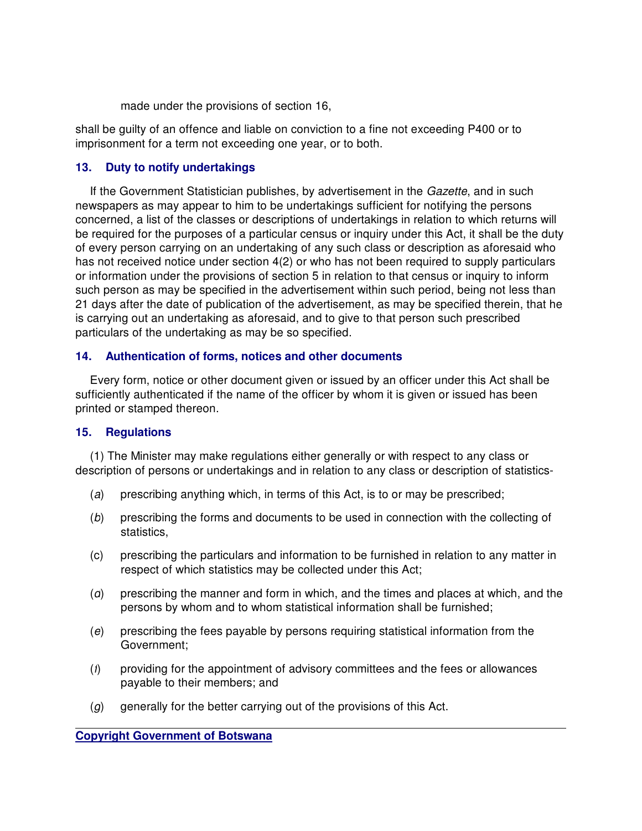made under the provisions of section 16,

shall be guilty of an offence and liable on conviction to a fine not exceeding P400 or to imprisonment for a term not exceeding one year, or to both.

# **13. Duty to notify undertakings**

 If the Government Statistician publishes, by advertisement in the Gazette, and in such newspapers as may appear to him to be undertakings sufficient for notifying the persons concerned, a list of the classes or descriptions of undertakings in relation to which returns will be required for the purposes of a particular census or inquiry under this Act, it shall be the duty of every person carrying on an undertaking of any such class or description as aforesaid who has not received notice under section 4(2) or who has not been required to supply particulars or information under the provisions of section 5 in relation to that census or inquiry to inform such person as may be specified in the advertisement within such period, being not less than 21 days after the date of publication of the advertisement, as may be specified therein, that he is carrying out an undertaking as aforesaid, and to give to that person such prescribed particulars of the undertaking as may be so specified.

## **14. Authentication of forms, notices and other documents**

 Every form, notice or other document given or issued by an officer under this Act shall be sufficiently authenticated if the name of the officer by whom it is given or issued has been printed or stamped thereon.

## **15. Regulations**

 (1) The Minister may make regulations either generally or with respect to any class or description of persons or undertakings and in relation to any class or description of statistics-

- (a) prescribing anything which, in terms of this Act, is to or may be prescribed;
- (b) prescribing the forms and documents to be used in connection with the collecting of statistics,
- (c) prescribing the particulars and information to be furnished in relation to any matter in respect of which statistics may be collected under this Act;
- (d) prescribing the manner and form in which, and the times and places at which, and the persons by whom and to whom statistical information shall be furnished;
- (e) prescribing the fees payable by persons requiring statistical information from the Government;
- (f) providing for the appointment of advisory committees and the fees or allowances payable to their members; and
- (g) generally for the better carrying out of the provisions of this Act.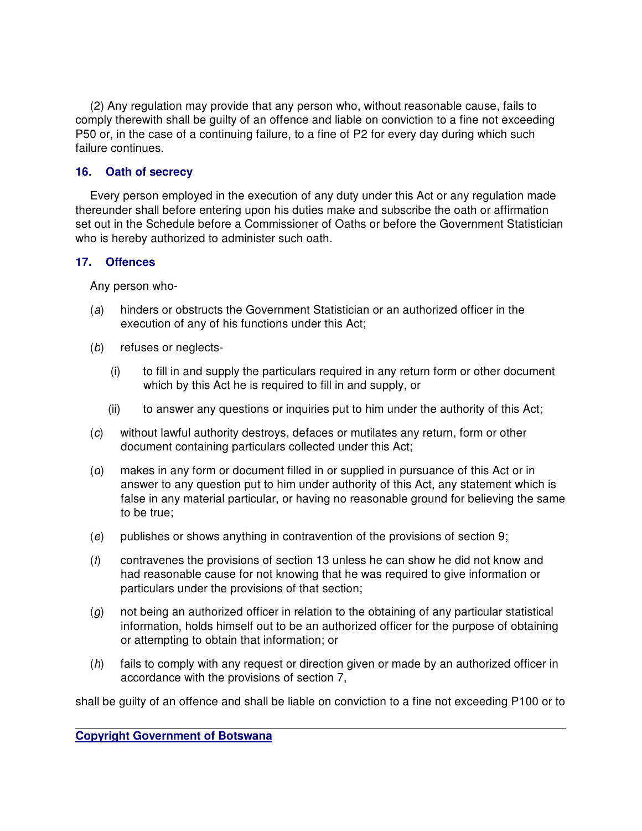(2) Any regulation may provide that any person who, without reasonable cause, fails to comply therewith shall be guilty of an offence and liable on conviction to a fine not exceeding P50 or, in the case of a continuing failure, to a fine of P2 for every day during which such failure continues.

## **16. Oath of secrecy**

 Every person employed in the execution of any duty under this Act or any regulation made thereunder shall before entering upon his duties make and subscribe the oath or affirmation set out in the Schedule before a Commissioner of Oaths or before the Government Statistician who is hereby authorized to administer such oath.

## **17. Offences**

Any person who-

- (a) hinders or obstructs the Government Statistician or an authorized officer in the execution of any of his functions under this Act;
- (b) refuses or neglects-
	- (i) to fill in and supply the particulars required in any return form or other document which by this Act he is required to fill in and supply, or
	- (ii) to answer any questions or inquiries put to him under the authority of this Act;
- (c) without lawful authority destroys, defaces or mutilates any return, form or other document containing particulars collected under this Act;
- (d) makes in any form or document filled in or supplied in pursuance of this Act or in answer to any question put to him under authority of this Act, any statement which is false in any material particular, or having no reasonable ground for believing the same to be true;
- (e) publishes or shows anything in contravention of the provisions of section 9;
- (f) contravenes the provisions of section 13 unless he can show he did not know and had reasonable cause for not knowing that he was required to give information or particulars under the provisions of that section;
- $(g)$  not being an authorized officer in relation to the obtaining of any particular statistical information, holds himself out to be an authorized officer for the purpose of obtaining or attempting to obtain that information; or
- (h) fails to comply with any request or direction given or made by an authorized officer in accordance with the provisions of section 7,

shall be guilty of an offence and shall be liable on conviction to a fine not exceeding P100 or to

**Copyright Government of Botswana**